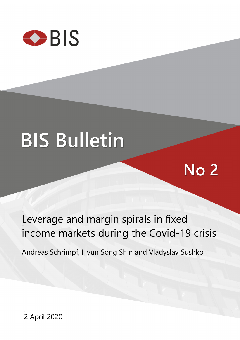

# **BIS Bulletin**

## Leverage and margin spirals in fixed income markets during the Covid-19 crisis

**No 2** 

Andreas Schrimpf, Hyun Song Shin and Vladyslav Sushko

2 April 2020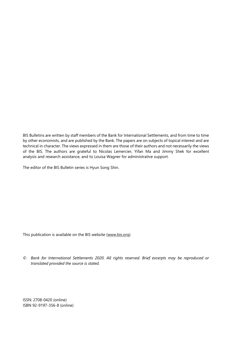BIS Bulletins are written by staff members of the Bank for International Settlements, and from time to time by other economists, and are published by the Bank. The papers are on subjects of topical interest and are technical in character. The views expressed in them are those of their authors and not necessarily the views of the BIS. The authors are grateful to Nicolas Lemercier, Yifan Ma and Jimmy Shek for excellent analysis and research assistance, and to Louisa Wagner for administrative support.

The editor of the BIS Bulletin series is Hyun Song Shin.

This publication is available on the BIS website [\(www.bis.org\)](http://www.bis.org/).

*© Bank for International Settlements 2020. All rights reserved. Brief excerpts may be reproduced or translated provided the source is stated.* 

ISSN: 2708-0420 (online) ISBN 92-9197-356-8 (online)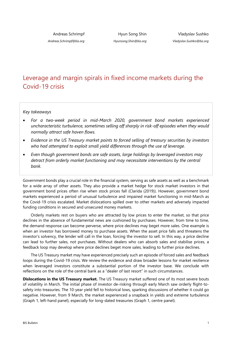*Andreas.Schrimpf@bis.org*

Hyun Song Shin *Hyunsong.Shin@bis.org*

### Leverage and margin spirals in fixed income markets during the Covid-19 crisis

*Key takeaways* 

- *For a two-week period in mid-March 2020, government bond markets experienced uncharacteristic turbulence, sometimes selling off sharply in risk-off episodes when they would normally attract safe haven flows.*
- *Evidence in the US Treasury market points to forced selling of treasury securities by investors who had attempted to exploit small yield differences through the use of leverage.*
- *Even though government bonds are safe assets, large holdings by leveraged investors may detract from orderly market functioning and may necessitate interventions by the central bank.*

Government bonds play a crucial role in the financial system, serving as safe assets as well as a benchmark for a wide array of other assets. They also provide a market hedge for stock market investors in that government bond prices often rise when stock prices fall (Clarida (2019)). However, government bond markets experienced a period of unusual turbulence and impaired market functioning in mid-March as the Covid-19 crisis escalated. Market dislocations spilled over to other markets and adversely impacted funding conditions in secured and unsecured money markets.

Orderly markets rest on buyers who are attracted by low prices to enter the market, so that price declines in the absence of fundamental news are cushioned by purchases. However, from time to time, the demand response can become perverse, where price declines may beget more sales. One example is when an investor has borrowed money to purchase assets. When the asset price falls and threatens the investor's solvency, the lender will call in the loan, forcing the investor to sell. In this way, a price decline can lead to further sales, not purchases. Without dealers who can absorb sales and stabilise prices, a feedback loop may develop where price declines beget more sales, leading to further price declines.

The US Treasury market may have experienced precisely such an episode of forced sales and feedback loops during the Covid-19 crisis. We review the evidence and draw broader lessons for market resilience when leveraged investors constitute a substantial portion of the investor base. We conclude with reflections on the role of the central bank as a "dealer of last resort" in such circumstances.

**Dislocations in the US Treasury market.** The US Treasury market suffered one of its most severe bouts of volatility in March. The initial phase of investor de-risking through early March saw orderly flight-tosafety into treasuries. The 10-year yield fell to historical lows, sparking discussions of whether it could go negative. However, from 9 March, the market experienced a snapback in yields and extreme turbulence (Graph 1, left-hand panel), especially for long-dated treasuries (Graph 1, centre panel).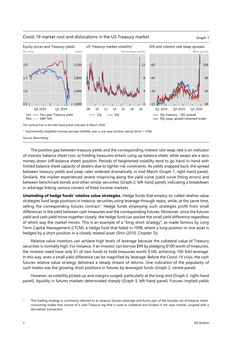

#### Covid-19 market rout and dislocations in the US Treasury market Graph 1

The vertical line in the left-hand panel indicates 9 March 2020.

<sup>1</sup> Exponentially weighted moving average volatility over a one-year window (decay factor = 0.96).

Source: Bloomberg.

The positive gap between treasury yields and the corresponding interest rate swap rate is an indicator of investor balance sheet cost, as holding treasuries entails using up balance sheet, while swaps are a zero money-down (off-balance sheet) position. Periods of heightened volatility tend to go hand-in-hand with limited balance sheet capacity of dealers due to tighter risk constraints. As yields snapped back, the spread between treasury yields and swap rates widened dramatically in mid-March (Graph 1, right-hand panel). Similarly, the market experienced severe mispricing along the yield curve (yield curve fitting errors) and between benchmark bonds and other similar securities (Graph 2, left-hand panel), indicating a breakdown in arbitrage linking various corners of fixed income markets.

**Unwinding of hedge funds' relative value strategies.** Hedge funds that employ so-called relative value strategies fund large positions in treasury securities using leverage through repos, while, at the same time, selling the corresponding futures contract.<sup>1</sup> Hedge funds employing such strategies profit from small differences in the yield between cash treasuries and the corresponding futures. Moreover, since the futures yield and cash yield move together closely, the hedge fund can pocket the small yield difference regardless of which way the market moves. This is an example of a "long-short strategy", as made famous by Long Term Capital Management (LTCM), a hedge fund that failed in 1998, where a long position in one asset is hedged by a short position in a closely related asset (Shin (2010, Chapter 3)).

Relative value investors can achieve high levels of leverage because the collateral value of Treasury securities is normally high. For instance, if an investor can borrow \$99 by pledging \$100 worth of treasuries, the investor need have only \$1 of own funds to hold treasuries worth \$100, achieving 100-fold leverage. In this way, even a small yield difference can be magnified by leverage. Before the Covid-19 crisis, the cash futures relative value strategy delivered a steady stream of returns. One indication of the popularity of such trades was the growing short positions in futures by leveraged funds (Graph 2, centre panel).

However, as volatility picked up and margins surged, particularly at the long-end (Graph 2, right-hand panel), liquidity in futures markets deteriorated sharply (Graph 3, left-hand panel). Futures-implied yields

<span id="page-3-0"></span><sup>1</sup> This trading strategy is commonly referred to as treasury futures arbitrage and forms part of the broader set of balance sheetconsuming trades that consist of a cash Treasury leg that is used as collateral and funded in the repo market, coupled with a derivatives transaction.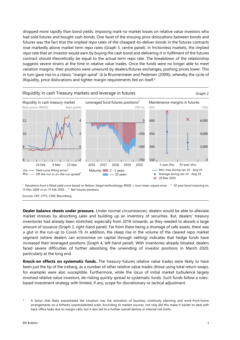dropped more rapidly than bond yields, imposing mark-to-market losses on relative value investors who had sold futures and bought cash bonds. One facet of the ensuing price dislocations between bonds and futures was the fact that the implied repo rates of the cheapest-to-deliver bonds in the futures contracts rose markedly above market term repo rates (Graph 3, centre panel). In frictionless markets, the implied repo rate that an investor would earn by buying the cash bond and delivering it in fulfilment of the futures contract should theoretically be equal to the actual term repo rate. The breakdown of the relationship suggests severe strains at the time in relative value trades. Once the funds were no longer able to meet variation margins, their positions were unwound by dealers/futures exchanges, pushing prices lower. This in turn gave rise to a classic "margin spiral" (à la Brunnermeier and Pedersen (2009)), whereby the cycle of illiquidity, price dislocations and tighter margin requirements fed on itself.<sup>2</sup>



<sup>1</sup> Deviations from a fitted yield curve based on Nelson-Siegel methodology; RMSE = root-mean-square error. <sup>2</sup> 30-year bond maturing on 15 Nov 2049 vs on 15 Feb 2050.  $3$  Net futures positions.

Sources: CBT; CFTC; CME; Bloomberg.

**Dealer balance sheets under pressure.** Under normal circumstances, dealers would be able to alleviate market stresses by absorbing sales and building up an inventory of securities. But, dealers' treasury inventories had already been stretched, especially from 2018 onwards, as they needed to absorb a large amount of issuance (Graph 3, right-hand panel). Far from there being a shortage of safe assets, there was a glut in the run-up to Covid-19. In addition, the steep rise in the volume of the cleared repo market segment (where dealers can economise on capital through netting) indicates that hedge funds have increased their leveraged positions (Graph 4, left-hand panel). With inventories already bloated, dealers faced severe difficulties of further absorbing the unwinding of investor positions in March 2020, particularly at the long end.

**Knock-on effects on systematic funds.** The treasury-futures relative value trades were likely to have been just the tip of the iceberg, as a number of other relative value trades (those using total return swaps, for example) were also susceptible. Furthermore, while the locus of initial market turbulence largely involved relative value investors, de-risking quickly spread to systematic funds. Such funds follow a rulesbased investment strategy with limited, if any, scope for discretionary or tactical adjustment.

<span id="page-4-0"></span> $\overline{2}$  A factor that likely exacerbated the situation was the activation of business continuity planning and work-from-home arrangements on a hitherto unprecedented scale. According to market sources, not only did this make it harder to deal with back office tasks due to margin calls, but it also led to a further overall decline in internal risk limits.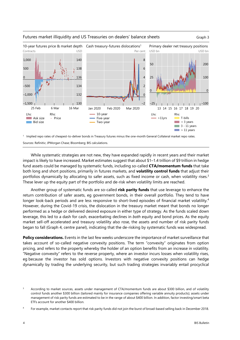

#### Futures market illiquidity and US Treasuries on dealers' balance sheets Graph 3

1 Implied repo rates of cheapest-to-deliver bonds in Treasury futures minus the one-month General Collateral market repo rates.

Sources: Refinitiv; JPMorgan Chase; Bloomberg; BIS calculations.

While systematic strategies are not new, they have expanded rapidly in recent years and their market impact is likely to have increased. Market estimates suggest that about \$1–1.4 trillion of \$9 trillion in hedge fund assets could be managed by systematic funds, including so-called **CTA/momentum funds** that take both long and short positions, primarily in futures markets, and **volatility control funds** that adjust their portfolios dynamically by allocating to safer assets, such as fixed income or cash, when volatility rises[.3](#page-5-1) These lever up the equity part of the portfolio and de-risk when volatility limits are reached.

Another group of systematic funds are so-called **risk parity funds** that use leverage to enhance the return contribution of safer assets, eg government bonds, in their overall portfolio. They tend to have longer look-back periods and are less responsive to short-lived episodes of financial market volatility.<sup>[4](#page-5-0)</sup> However, during the Covid-19 crisis, the dislocation in the treasury market meant that bonds no longer performed as a hedge or delivered desired exposure in either type of strategy. As the funds scaled down leverage, this led to a dash for cash, exacerbating declines in *both* equity and bond prices. As the equity market sell-off accelerated and treasury volatility also rose, the assets and number of risk parity funds began to fall (Graph 4, centre panel), indicating that the de-risking by systematic funds was widespread.

**Policy considerations.** Events in the last few weeks underscore the importance of market surveillance that takes account of so-called negative convexity positions. The term "convexity" originates from option pricing, and refers to the property whereby the holder of an option benefits from an increase in volatility. "Negative convexity" refers to the reverse property, where an investor incurs losses when volatility rises, eg because the investor has sold options. Investors with negative convexity positions can hedge dynamically by trading the underlying security, but such trading strategies invariably entail procyclical

<span id="page-5-1"></span><sup>3</sup> According to market sources, assets under management of CTA/momentum funds are about \$300 billion, and of volatility control funds another \$300 billion (tailored mainly for insurance companies offering variable annuity products); assets under management of risk parity funds are estimated to be in the range of about \$400 billion. In addition, factor investing/smart beta ETFs account for another \$400 billion.

<span id="page-5-0"></span><sup>4</sup> For example, market contacts report that risk parity funds did not join the burst of broad-based selling back in December 2018.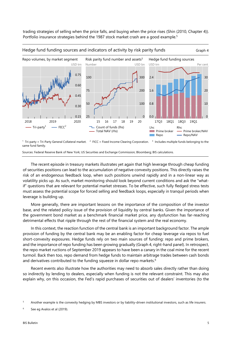trading strategies of selling when the price falls, and buying when the price rises (Shin (2010, Chapter 4)). Portfolio insurance strategies behind the 1987 stock market crash are a good example.<sup>5</sup>



1 Tri-party = Tri-Party General Collateral market.  $2$  FICC = Fixed Income Clearing Corporation.  $3$  Includes multiple funds belonging to the same fund family.

Sources: Federal Reserve Bank of New York; US Securities and Exchange Commission; Bloomberg; BIS calculations.

The recent episode in treasury markets illustrates yet again that high leverage through cheap funding of securities positions can lead to the accumulation of negative convexity positions. This directly raises the risk of an endogenous feedback loop, when such positions unwind rapidly and in a non-linear way as volatility picks up. As such, market monitoring should look beyond current conditions and ask the "whatif" questions that are relevant for potential market stresses. To be effective, such fully fledged stress tests must assess the potential scope for forced selling and feedback loops, especially in tranquil periods when leverage is building up.

More generally, there are important lessons on the importance of the composition of the investor base, and the related policy issue of the provision of liquidity by central banks. Given the importance of the government bond market as a benchmark financial market price, any dysfunction has far-reaching detrimental effects that ripple through the rest of the financial system and the real economy.

In this context, the reaction function of the central bank is an important background factor. The ample provision of funding by the central bank may be an enabling factor for cheap leverage via repos to fuel short-convexity exposures. Hedge funds rely on two main sources of funding: repo and prime brokers, and the importance of repo funding has been growing gradually (Graph 4, right-hand panel). In retrospect, the repo market ructions of September 2019 appears to have been a canary in the coal mine for the recent turmoil. Back then too, repo demand from hedge funds to maintain arbitrage trades between cash bonds and derivatives contributed to the funding squeeze in dollar repo markets.<sup>6</sup>

Recent events also illustrate how the authorities may need to absorb sales directly rather than doing so indirectly by lending to dealers, especially when funding is not the relevant constraint. This may also explain why, on this occasion, the Fed's rapid purchases of securities out of dealers' inventories (to the

<span id="page-6-1"></span><sup>5</sup> Another example is the convexity hedging by MBS investors or by liability-driven institutional investors, such as life insurers.

<span id="page-6-0"></span><sup>6</sup> See eg Avalos et al (2019).